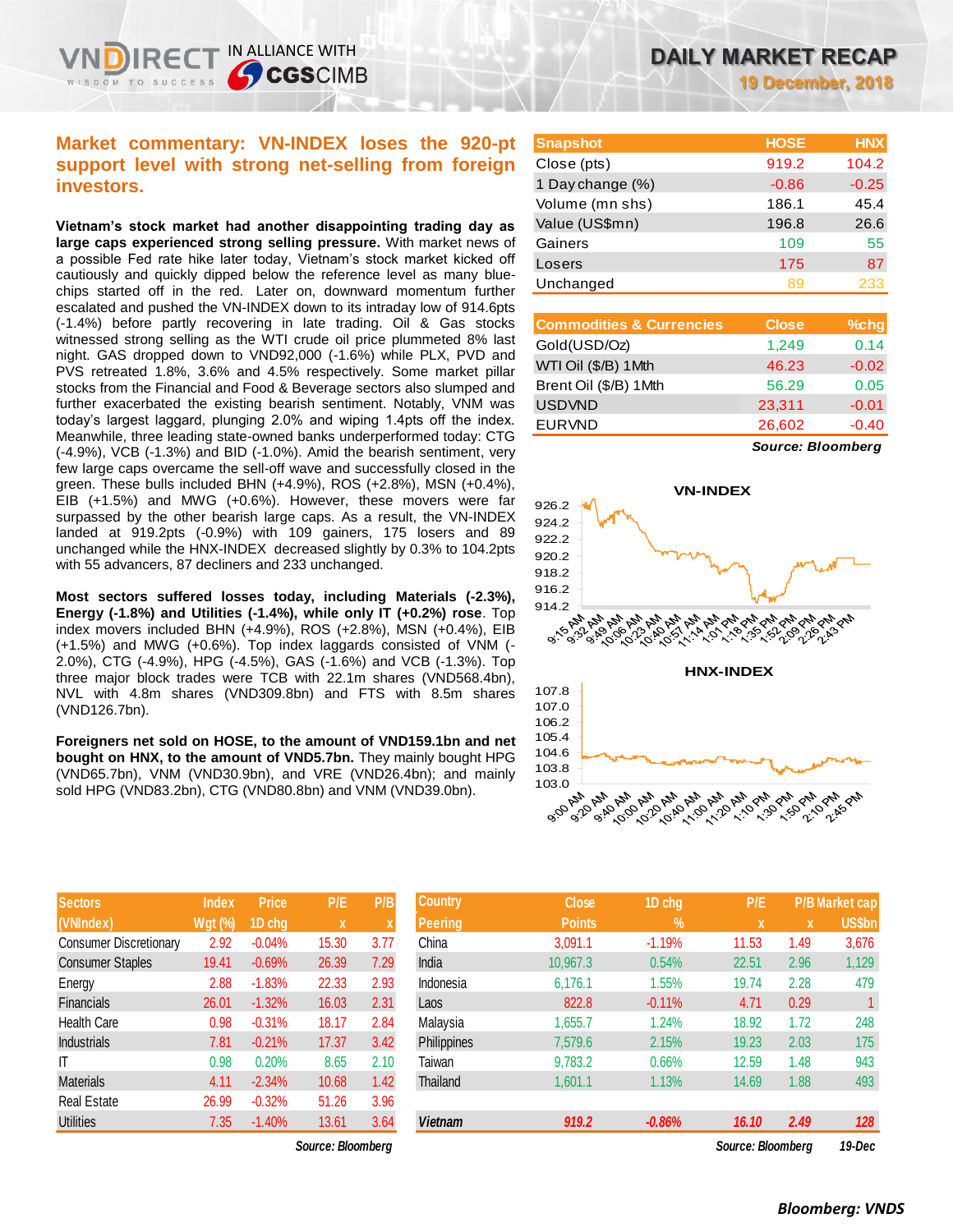# **Market commentary: VN-INDEX loses the 920-pt support level with strong net-selling from foreign investors.**

IN ALLIANCE WITH

**SCGSCIMB** 

**Vietnam's stock market had another disappointing trading day as large caps experienced strong selling pressure.** With market news of a possible Fed rate hike later today, Vietnam's stock market kicked off cautiously and quickly dipped below the reference level as many bluechips started off in the red. Later on, downward momentum further escalated and pushed the VN-INDEX down to its intraday low of 914.6pts (-1.4%) before partly recovering in late trading. Oil & Gas stocks witnessed strong selling as the WTI crude oil price plummeted 8% last night. GAS dropped down to VND92,000 (-1.6%) while PLX, PVD and PVS retreated 1.8%, 3.6% and 4.5% respectively. Some market pillar stocks from the Financial and Food & Beverage sectors also slumped and further exacerbated the existing bearish sentiment. Notably, VNM was today's largest laggard, plunging 2.0% and wiping 1.4pts off the index. Meanwhile, three leading state-owned banks underperformed today: CTG (-4.9%), VCB (-1.3%) and BID (-1.0%). Amid the bearish sentiment, very few large caps overcame the sell-off wave and successfully closed in the green. These bulls included BHN (+4.9%), ROS (+2.8%), MSN (+0.4%), EIB (+1.5%) and MWG (+0.6%). However, these movers were far surpassed by the other bearish large caps. As a result, the VN-INDEX landed at 919.2pts (-0.9%) with 109 gainers, 175 losers and 89 unchanged while the HNX-INDEX decreased slightly by 0.3% to 104.2pts with 55 advancers, 87 decliners and 233 unchanged.

**Most sectors suffered losses today, including Materials (-2.3%), Energy (-1.8%) and Utilities (-1.4%), while only IT (+0.2%) rose**. Top index movers included BHN (+4.9%), ROS (+2.8%), MSN (+0.4%), EIB (+1.5%) and MWG (+0.6%). Top index laggards consisted of VNM (- 2.0%), CTG (-4.9%), HPG (-4.5%), GAS (-1.6%) and VCB (-1.3%). Top three major block trades were TCB with 22.1m shares (VND568.4bn), NVL with 4.8m shares (VND309.8bn) and FTS with 8.5m shares (VND126.7bn).

**Foreigners net sold on HOSE, to the amount of VND159.1bn and net bought on HNX, to the amount of VND5.7bn.** They mainly bought HPG (VND65.7bn), VNM (VND30.9bn), and VRE (VND26.4bn); and mainly sold HPG (VND83.2bn), CTG (VND80.8bn) and VNM (VND39.0bn).

| <b>Sectors</b>                | <b>Index</b>   | <b>Price</b> | P/E   | P/B                       |
|-------------------------------|----------------|--------------|-------|---------------------------|
| (VNIndex)                     | <b>Wgt (%)</b> | 1D chg       | x     | $\boldsymbol{\mathsf{X}}$ |
| <b>Consumer Discretionary</b> | 2.92           | $-0.04%$     | 15.30 | 3.77                      |
| <b>Consumer Staples</b>       | 19.41          | $-0.69%$     | 26.39 | 7.29                      |
| Energy                        | 2.88           | $-1.83%$     | 22.33 | 2.93                      |
| <b>Financials</b>             | 26.01          | $-1.32%$     | 16.03 | 2.31                      |
| <b>Health Care</b>            | 0.98           | $-0.31%$     | 18.17 | 2.84                      |
| <b>Industrials</b>            | 7.81           | $-0.21%$     | 17.37 | 3.42                      |
| IT                            | 0.98           | 0.20%        | 8.65  | 2.10                      |
| <b>Materials</b>              | 4.11           | $-2.34%$     | 10.68 | 1.42                      |
| <b>Real Estate</b>            | 26.99          | $-0.32%$     | 51.26 | 3.96                      |
| Utilities                     | 7.35           | $-1.40%$     | 13.61 | 3.64                      |

 $Source: Bloomberg$ 

**Snapshot HOSE HNX** Close (pts) 919.2 104.2 1 Day change (%) -0.86 -0.25 Volume (mn shs) 186.1 45.4 Value (US\$mn) 196.8 26.6 Gainers 55 Losers 175 87 Unchanged 89 233

| <b>Commodities &amp; Currencies</b> | <b>Close</b> | $%$ chg |
|-------------------------------------|--------------|---------|
| Gold(USD/Oz)                        | 1,249        | 0.14    |
| WTI Oil (\$/B) 1Mth                 | 46.23        | $-0.02$ |
| Brent Oil (\$/B) 1Mth               | 56.29        | 0.05    |
| <b>USDVND</b>                       | 23,311       | $-0.01$ |
| <b>EURVND</b>                       | 26,602       | $-0.40$ |
|                                     |              |         |

*Source: Bloomberg*



| <b>Sectors</b>                | <b>Index</b>   | <b>Price</b> | P/E               | P/B                       | <b>Country</b>     | <b>Close</b>  | 1D chg   | P/E               |      | <b>P/B Market cap</b> |
|-------------------------------|----------------|--------------|-------------------|---------------------------|--------------------|---------------|----------|-------------------|------|-----------------------|
| (VNIndex)                     | <b>Wgt (%)</b> | 1D chg       | X                 | $\boldsymbol{\mathsf{A}}$ | Peering            | <b>Points</b> | $\%$     | $\mathbf{x}$      | X    | <b>US\$bn</b>         |
| <b>Consumer Discretionary</b> | 2.92           | $-0.04%$     | 15.30             | 3.77                      | China              | 3.091.1       | $-1.19%$ | 11.53             | 1.49 | 3,676                 |
| <b>Consumer Staples</b>       | 19.41          | $-0.69%$     | 26.39             | 7.29                      | India              | 10.967.3      | 0.54%    | 22.51             | 2.96 | 1,129                 |
| Energy                        | 2.88           | $-1.83%$     | 22.33             | 2.93                      | Indonesia          | 6,176.1       | 1.55%    | 19.74             | 2.28 | 479                   |
| Financials                    | 26.01          | $-1.32%$     | 16.03             | 2.31                      | Laos               | 822.8         | $-0.11%$ | 4.71              | 0.29 |                       |
| Health Care                   | 0.98           | $-0.31%$     | 18.17             | 2.84                      | Malaysia           | 1,655.7       | 1.24%    | 18.92             | 1.72 | 248                   |
| Industrials                   | 7.81           | $-0.21%$     | 17.37             | 3.42                      | <b>Philippines</b> | 7,579.6       | 2.15%    | 19.23             | 2.03 | 175                   |
| ΙT                            | 0.98           | 0.20%        | 8.65              | 2.10                      | Taiwan             | 9,783.2       | 0.66%    | 12.59             | 1.48 | 943                   |
| Materials                     | 4.11           | $-2.34%$     | 10.68             | 1.42                      | Thailand           | 1,601.1       | 1.13%    | 14.69             | 1.88 | 493                   |
| Real Estate                   | 26.99          | $-0.32%$     | 51.26             | 3.96                      |                    |               |          |                   |      |                       |
| <b>Utilities</b>              | 7.35           | $-1.40%$     | 13.61             | 3.64                      | <b>Vietnam</b>     | 919.2         | $-0.86%$ | 16.10             | 2.49 | 128                   |
|                               |                |              | Source: Bloomberg |                           |                    |               |          | Source: Bloomberg |      | $10 - DCP$            |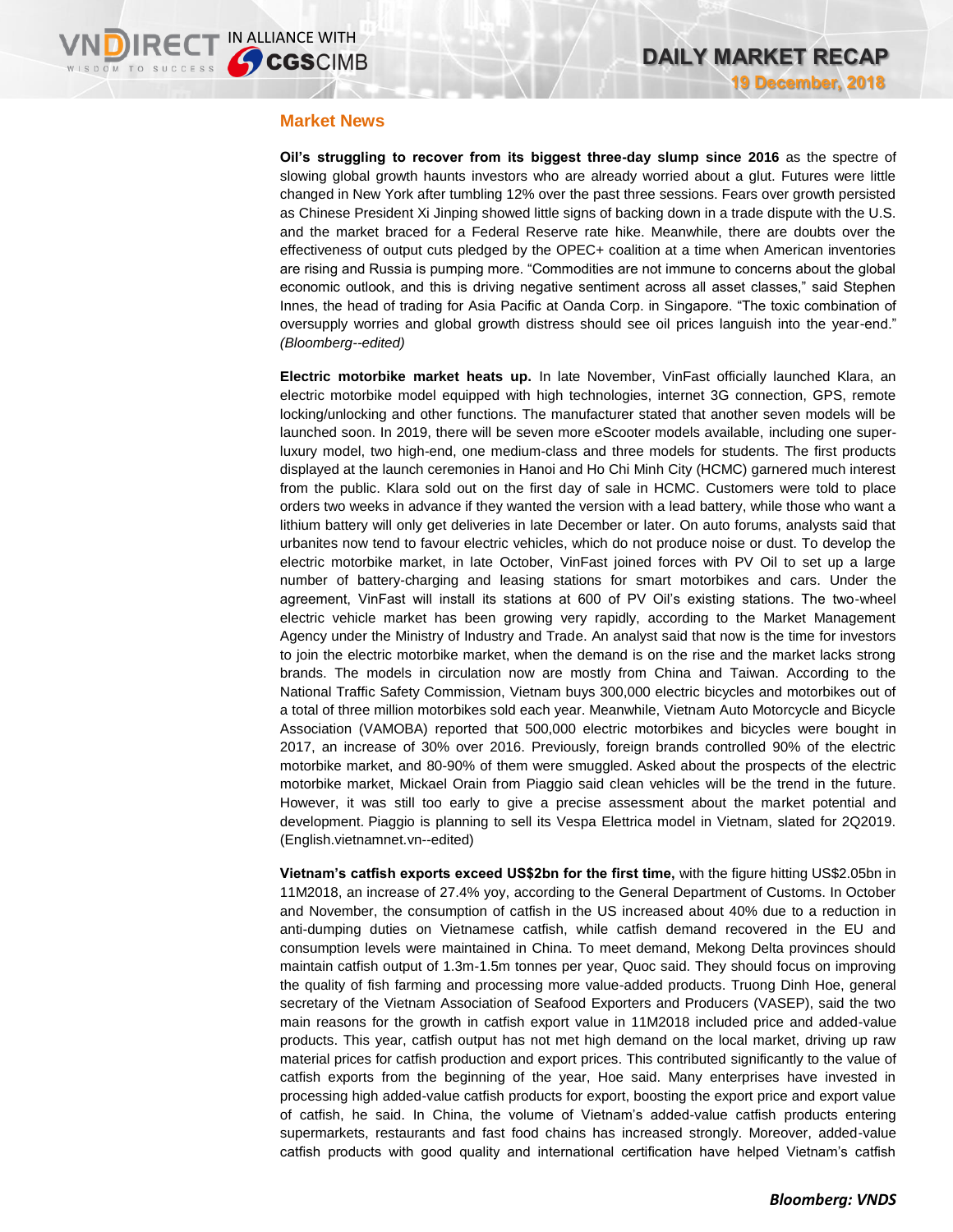## **Market News**

**Oil's struggling to recover from its biggest three-day slump since 2016** as the spectre of slowing global growth haunts investors who are already worried about a glut. Futures were little changed in New York after tumbling 12% over the past three sessions. Fears over growth persisted as Chinese President Xi Jinping showed little signs of backing down in a trade dispute with the U.S. and the market braced for a Federal Reserve rate hike. Meanwhile, there are doubts over the effectiveness of output cuts pledged by the OPEC+ coalition at a time when American inventories are rising and Russia is pumping more. "Commodities are not immune to concerns about the global economic outlook, and this is driving negative sentiment across all asset classes," said Stephen Innes, the head of trading for Asia Pacific at Oanda Corp. in Singapore. "The toxic combination of oversupply worries and global growth distress should see oil prices languish into the year-end." *(Bloomberg--edited)*

**Electric motorbike market heats up.** In late November, VinFast officially launched Klara, an electric motorbike model equipped with high technologies, internet 3G connection, GPS, remote locking/unlocking and other functions. The manufacturer stated that another seven models will be launched soon. In 2019, there will be seven more eScooter models available, including one superluxury model, two high-end, one medium-class and three models for students. The first products displayed at the launch ceremonies in Hanoi and Ho Chi Minh City (HCMC) garnered much interest from the public. Klara sold out on the first day of sale in HCMC. Customers were told to place orders two weeks in advance if they wanted the version with a lead battery, while those who want a lithium battery will only get deliveries in late December or later. On auto forums, analysts said that urbanites now tend to favour electric vehicles, which do not produce noise or dust. To develop the electric motorbike market, in late October, VinFast joined forces with PV Oil to set up a large number of battery-charging and leasing stations for smart motorbikes and cars. Under the agreement, VinFast will install its stations at 600 of PV Oil's existing stations. The two-wheel electric vehicle market has been growing very rapidly, according to the Market Management Agency under the Ministry of Industry and Trade. An analyst said that now is the time for investors to join the electric motorbike market, when the demand is on the rise and the market lacks strong brands. The models in circulation now are mostly from China and Taiwan. According to the National Traffic Safety Commission, Vietnam buys 300,000 electric bicycles and motorbikes out of a total of three million motorbikes sold each year. Meanwhile, Vietnam Auto Motorcycle and Bicycle Association (VAMOBA) reported that 500,000 electric motorbikes and bicycles were bought in 2017, an increase of 30% over 2016. Previously, foreign brands controlled 90% of the electric motorbike market, and 80-90% of them were smuggled. Asked about the prospects of the electric motorbike market, Mickael Orain from Piaggio said clean vehicles will be the trend in the future. However, it was still too early to give a precise assessment about the market potential and development. Piaggio is planning to sell its Vespa Elettrica model in Vietnam, slated for 2Q2019. (English.vietnamnet.vn--edited)

**Vietnam's catfish exports exceed US\$2bn for the first time,** with the figure hitting US\$2.05bn in 11M2018, an increase of 27.4% yoy, according to the General Department of Customs. In October and November, the consumption of catfish in the US increased about 40% due to a reduction in anti-dumping duties on Vietnamese catfish, while catfish demand recovered in the EU and consumption levels were maintained in China. To meet demand, Mekong Delta provinces should maintain catfish output of 1.3m-1.5m tonnes per year, Quoc said. They should focus on improving the quality of fish farming and processing more value-added products. Truong Dinh Hoe, general secretary of the Vietnam Association of Seafood Exporters and Producers (VASEP), said the two main reasons for the growth in catfish export value in 11M2018 included price and added-value products. This year, catfish output has not met high demand on the local market, driving up raw material prices for catfish production and export prices. This contributed significantly to the value of catfish exports from the beginning of the year, Hoe said. Many enterprises have invested in processing high added-value catfish products for export, boosting the export price and export value of catfish, he said. In China, the volume of Vietnam's added-value catfish products entering supermarkets, restaurants and fast food chains has increased strongly. Moreover, added-value catfish products with good quality and international certification have helped Vietnam's catfish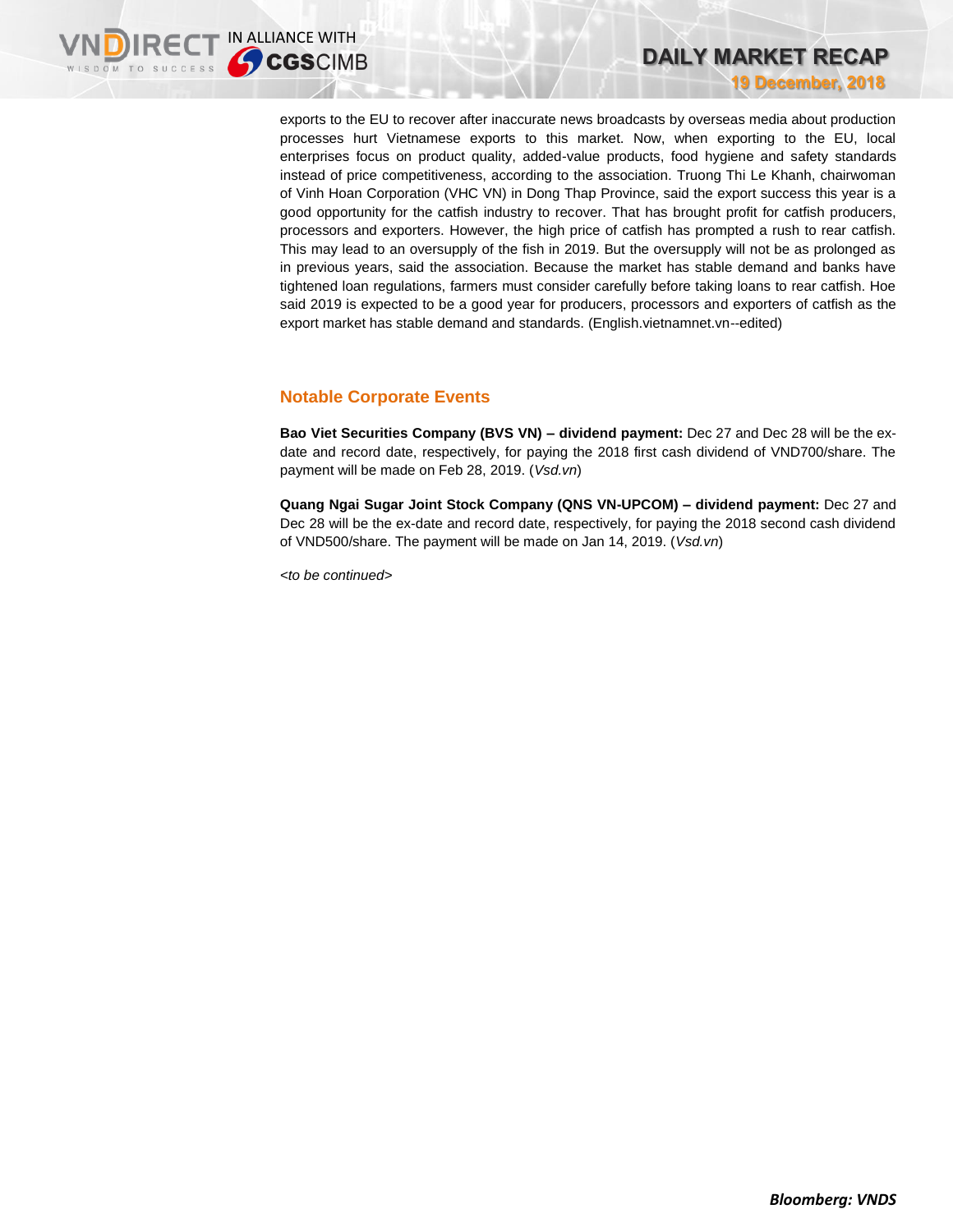exports to the EU to recover after inaccurate news broadcasts by overseas media about production processes hurt Vietnamese exports to this market. Now, when exporting to the EU, local enterprises focus on product quality, added-value products, food hygiene and safety standards instead of price competitiveness, according to the association. Truong Thi Le Khanh, chairwoman of Vinh Hoan Corporation (VHC VN) in Dong Thap Province, said the export success this year is a good opportunity for the catfish industry to recover. That has brought profit for catfish producers, processors and exporters. However, the high price of catfish has prompted a rush to rear catfish. This may lead to an oversupply of the fish in 2019. But the oversupply will not be as prolonged as in previous years, said the association. Because the market has stable demand and banks have tightened loan regulations, farmers must consider carefully before taking loans to rear catfish. Hoe said 2019 is expected to be a good year for producers, processors and exporters of catfish as the export market has stable demand and standards. (English.vietnamnet.vn--edited)

# **Notable Corporate Events**

**Bao Viet Securities Company (BVS VN) – dividend payment:** Dec 27 and Dec 28 will be the exdate and record date, respectively, for paying the 2018 first cash dividend of VND700/share. The payment will be made on Feb 28, 2019. (*Vsd.vn*)

**Quang Ngai Sugar Joint Stock Company (QNS VN-UPCOM) – dividend payment:** Dec 27 and Dec 28 will be the ex-date and record date, respectively, for paying the 2018 second cash dividend of VND500/share. The payment will be made on Jan 14, 2019. (*Vsd.vn*)

*<to be continued>*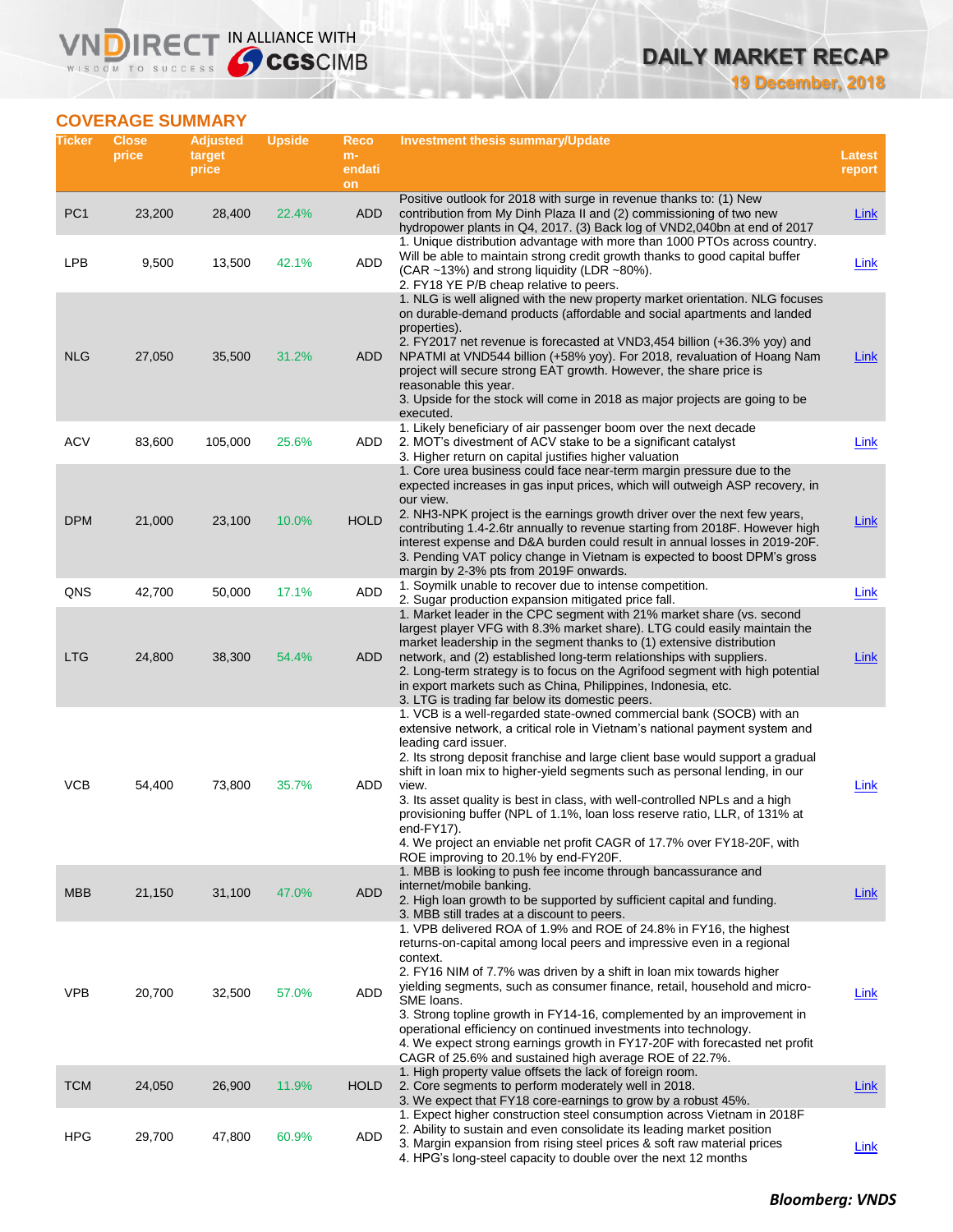# **DAILY MARKET RECAP**

**19 December, 2018**

# **COVERAGE SUMMARY**

**VNDIRECT IN ALLIANCE WITH** 

| Ticker          | <b>Close</b><br>price | <b>Adjusted</b><br>target<br>price | <b>Upside</b> | Reco<br>$m-$<br>endati<br>on | <b>Investment thesis summary/Update</b>                                                                                                                                                                                                                                                                                                                                                                                                                                                                                                                                                                                                           | <b>Latest</b><br>report |
|-----------------|-----------------------|------------------------------------|---------------|------------------------------|---------------------------------------------------------------------------------------------------------------------------------------------------------------------------------------------------------------------------------------------------------------------------------------------------------------------------------------------------------------------------------------------------------------------------------------------------------------------------------------------------------------------------------------------------------------------------------------------------------------------------------------------------|-------------------------|
| PC <sub>1</sub> | 23,200                | 28,400                             | 22.4%         | ADD                          | Positive outlook for 2018 with surge in revenue thanks to: (1) New<br>contribution from My Dinh Plaza II and (2) commissioning of two new<br>hydropower plants in Q4, 2017. (3) Back log of VND2,040bn at end of 2017                                                                                                                                                                                                                                                                                                                                                                                                                             | <b>Link</b>             |
| <b>LPB</b>      | 9,500                 | 13,500                             | 42.1%         | ADD                          | 1. Unique distribution advantage with more than 1000 PTOs across country.<br>Will be able to maintain strong credit growth thanks to good capital buffer<br>(CAR ~13%) and strong liquidity (LDR ~80%).<br>2. FY18 YE P/B cheap relative to peers.                                                                                                                                                                                                                                                                                                                                                                                                | Link                    |
| <b>NLG</b>      | 27,050                | 35,500                             | 31.2%         | ADD                          | 1. NLG is well aligned with the new property market orientation. NLG focuses<br>on durable-demand products (affordable and social apartments and landed<br>properties).<br>2. FY2017 net revenue is forecasted at VND3,454 billion (+36.3% yoy) and<br>NPATMI at VND544 billion (+58% yoy). For 2018, revaluation of Hoang Nam<br>project will secure strong EAT growth. However, the share price is<br>reasonable this year.<br>3. Upside for the stock will come in 2018 as major projects are going to be<br>executed.                                                                                                                         | Link                    |
| <b>ACV</b>      | 83,600                | 105,000                            | 25.6%         | ADD                          | 1. Likely beneficiary of air passenger boom over the next decade<br>2. MOT's divestment of ACV stake to be a significant catalyst<br>3. Higher return on capital justifies higher valuation                                                                                                                                                                                                                                                                                                                                                                                                                                                       | Link                    |
| <b>DPM</b>      | 21,000                | 23,100                             | 10.0%         | <b>HOLD</b>                  | 1. Core urea business could face near-term margin pressure due to the<br>expected increases in gas input prices, which will outweigh ASP recovery, in<br>our view.<br>2. NH3-NPK project is the earnings growth driver over the next few years,<br>contributing 1.4-2.6tr annually to revenue starting from 2018F. However high<br>interest expense and D&A burden could result in annual losses in 2019-20F.<br>3. Pending VAT policy change in Vietnam is expected to boost DPM's gross<br>margin by 2-3% pts from 2019F onwards.                                                                                                               | Link                    |
| QNS             | 42,700                | 50,000                             | 17.1%         | ADD                          | 1. Soymilk unable to recover due to intense competition.<br>2. Sugar production expansion mitigated price fall.                                                                                                                                                                                                                                                                                                                                                                                                                                                                                                                                   | Link                    |
| <b>LTG</b>      | 24,800                | 38,300                             | 54.4%         | <b>ADD</b>                   | 1. Market leader in the CPC segment with 21% market share (vs. second<br>largest player VFG with 8.3% market share). LTG could easily maintain the<br>market leadership in the segment thanks to (1) extensive distribution<br>network, and (2) established long-term relationships with suppliers.<br>2. Long-term strategy is to focus on the Agrifood segment with high potential<br>in export markets such as China, Philippines, Indonesia, etc.<br>3. LTG is trading far below its domestic peers.                                                                                                                                          | <b>Link</b>             |
| <b>VCB</b>      | 54,400                | 73,800                             | 35.7%         | ADD                          | 1. VCB is a well-regarded state-owned commercial bank (SOCB) with an<br>extensive network, a critical role in Vietnam's national payment system and<br>leading card issuer.<br>2. Its strong deposit franchise and large client base would support a gradual<br>shift in loan mix to higher-yield segments such as personal lending, in our<br>view.<br>3. Its asset quality is best in class, with well-controlled NPLs and a high<br>provisioning buffer (NPL of 1.1%, loan loss reserve ratio, LLR, of 131% at<br>end-FY17).<br>4. We project an enviable net profit CAGR of 17.7% over FY18-20F, with<br>ROE improving to 20.1% by end-FY20F. | Link                    |
| <b>MBB</b>      | 21,150                | 31,100                             | 47.0%         | <b>ADD</b>                   | 1. MBB is looking to push fee income through bancassurance and<br>internet/mobile banking.<br>2. High loan growth to be supported by sufficient capital and funding.<br>3. MBB still trades at a discount to peers.                                                                                                                                                                                                                                                                                                                                                                                                                               | Link                    |
| <b>VPB</b>      | 20,700                | 32,500                             | 57.0%         | ADD                          | 1. VPB delivered ROA of 1.9% and ROE of 24.8% in FY16, the highest<br>returns-on-capital among local peers and impressive even in a regional<br>context.<br>2. FY16 NIM of 7.7% was driven by a shift in loan mix towards higher<br>yielding segments, such as consumer finance, retail, household and micro-<br>SME loans.<br>3. Strong topline growth in FY14-16, complemented by an improvement in<br>operational efficiency on continued investments into technology.<br>4. We expect strong earnings growth in FY17-20F with forecasted net profit<br>CAGR of 25.6% and sustained high average ROE of 22.7%.                                 | Link                    |
| <b>TCM</b>      | 24,050                | 26,900                             | 11.9%         | <b>HOLD</b>                  | 1. High property value offsets the lack of foreign room.<br>2. Core segments to perform moderately well in 2018.<br>3. We expect that FY18 core-earnings to grow by a robust 45%.                                                                                                                                                                                                                                                                                                                                                                                                                                                                 | Link                    |
| <b>HPG</b>      | 29,700                | 47,800                             | 60.9%         | ADD                          | 1. Expect higher construction steel consumption across Vietnam in 2018F<br>2. Ability to sustain and even consolidate its leading market position<br>3. Margin expansion from rising steel prices & soft raw material prices<br>4. HPG's long-steel capacity to double over the next 12 months                                                                                                                                                                                                                                                                                                                                                    | <b>Link</b>             |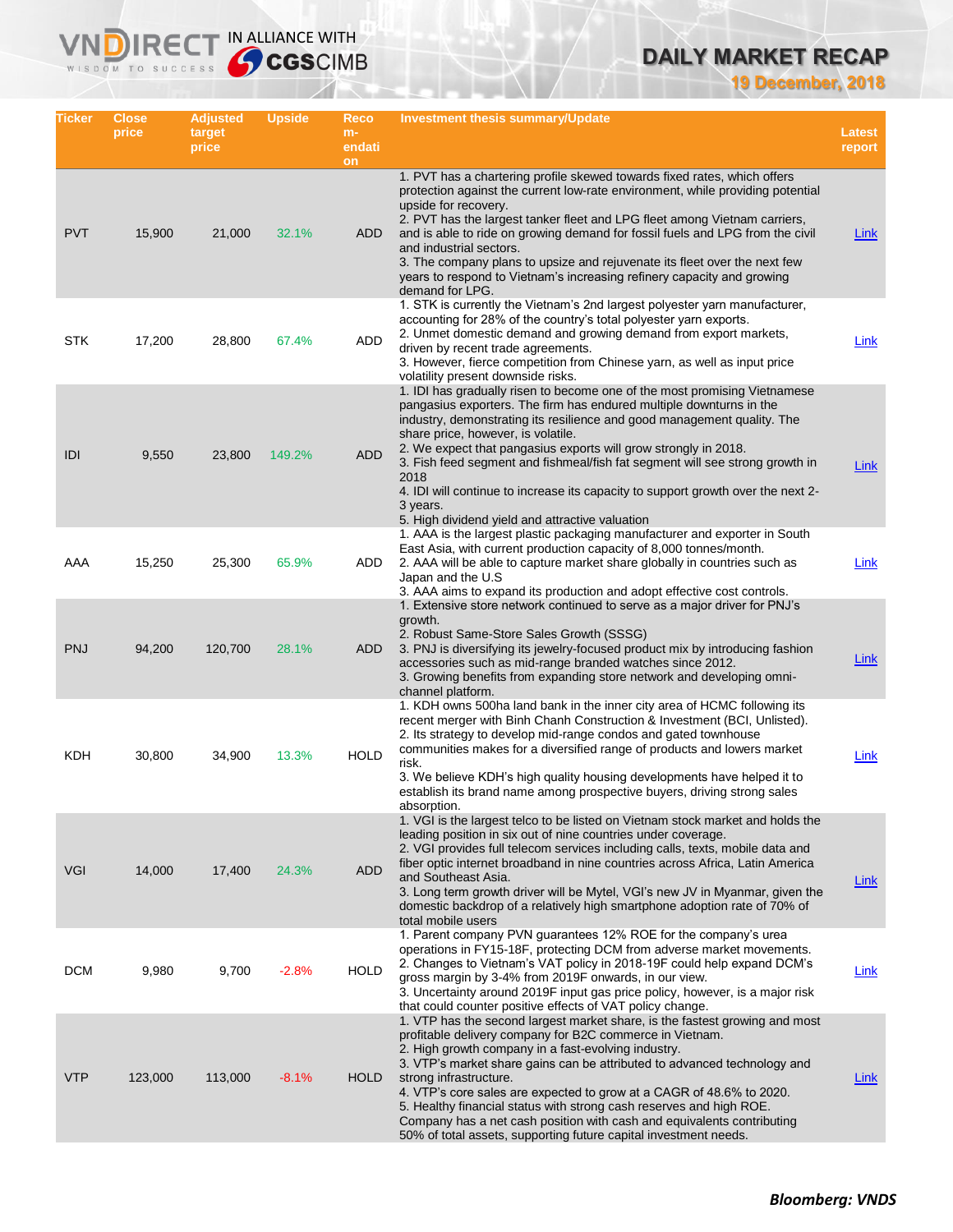# **DAILY MARKET RECAP**

**19 December, 2018**

| Ticker     | <b>Close</b><br>price | <b>Adjusted</b><br>target<br>price | Upside  | Reco<br>$m-$<br>endati<br>on | Investment thesis summary/Update                                                                                                                                                                                                                                                                                                                                                                                                                                                                                                                                                                  | <b>Latest</b><br>report |
|------------|-----------------------|------------------------------------|---------|------------------------------|---------------------------------------------------------------------------------------------------------------------------------------------------------------------------------------------------------------------------------------------------------------------------------------------------------------------------------------------------------------------------------------------------------------------------------------------------------------------------------------------------------------------------------------------------------------------------------------------------|-------------------------|
| <b>PVT</b> | 15,900                | 21,000                             | 32.1%   | ADD                          | 1. PVT has a chartering profile skewed towards fixed rates, which offers<br>protection against the current low-rate environment, while providing potential<br>upside for recovery.<br>2. PVT has the largest tanker fleet and LPG fleet among Vietnam carriers,<br>and is able to ride on growing demand for fossil fuels and LPG from the civil<br>and industrial sectors.<br>3. The company plans to upsize and rejuvenate its fleet over the next few<br>years to respond to Vietnam's increasing refinery capacity and growing<br>demand for LPG.                                             | Link                    |
| <b>STK</b> | 17,200                | 28,800                             | 67.4%   | ADD                          | 1. STK is currently the Vietnam's 2nd largest polyester yarn manufacturer,<br>accounting for 28% of the country's total polyester yarn exports.<br>2. Unmet domestic demand and growing demand from export markets,<br>driven by recent trade agreements.<br>3. However, fierce competition from Chinese yarn, as well as input price<br>volatility present downside risks.                                                                                                                                                                                                                       | Link                    |
| IDI        | 9,550                 | 23,800                             | 149.2%  | <b>ADD</b>                   | 1. IDI has gradually risen to become one of the most promising Vietnamese<br>pangasius exporters. The firm has endured multiple downturns in the<br>industry, demonstrating its resilience and good management quality. The<br>share price, however, is volatile.<br>2. We expect that pangasius exports will grow strongly in 2018.<br>3. Fish feed segment and fishmeal/fish fat segment will see strong growth in<br>2018<br>4. IDI will continue to increase its capacity to support growth over the next 2-<br>3 years.<br>5. High dividend yield and attractive valuation                   | <b>Link</b>             |
| AAA        | 15,250                | 25,300                             | 65.9%   | ADD                          | 1. AAA is the largest plastic packaging manufacturer and exporter in South<br>East Asia, with current production capacity of 8,000 tonnes/month.<br>2. AAA will be able to capture market share globally in countries such as<br>Japan and the U.S.<br>3. AAA aims to expand its production and adopt effective cost controls.                                                                                                                                                                                                                                                                    | Link                    |
| <b>PNJ</b> | 94,200                | 120,700                            | 28.1%   | ADD                          | 1. Extensive store network continued to serve as a major driver for PNJ's<br>growth.<br>2. Robust Same-Store Sales Growth (SSSG)<br>3. PNJ is diversifying its jewelry-focused product mix by introducing fashion<br>accessories such as mid-range branded watches since 2012.<br>3. Growing benefits from expanding store network and developing omni-<br>channel platform.                                                                                                                                                                                                                      | Link                    |
| KDH        | 30,800                | 34,900                             | 13.3%   | <b>HOLD</b>                  | 1. KDH owns 500ha land bank in the inner city area of HCMC following its<br>recent merger with Binh Chanh Construction & Investment (BCI, Unlisted).<br>2. Its strategy to develop mid-range condos and gated townhouse<br>communities makes for a diversified range of products and lowers market<br>risk.<br>3. We believe KDH's high quality housing developments have helped it to<br>establish its brand name among prospective buyers, driving strong sales<br>absorption.                                                                                                                  | Link                    |
| <b>VGI</b> | 14,000                | 17,400                             | 24.3%   | <b>ADD</b>                   | 1. VGI is the largest telco to be listed on Vietnam stock market and holds the<br>leading position in six out of nine countries under coverage.<br>2. VGI provides full telecom services including calls, texts, mobile data and<br>fiber optic internet broadband in nine countries across Africa, Latin America<br>and Southeast Asia.<br>3. Long term growth driver will be Mytel, VGI's new JV in Myanmar, given the<br>domestic backdrop of a relatively high smartphone adoption rate of 70% of<br>total mobile users                                                                       | <b>Link</b>             |
| <b>DCM</b> | 9,980                 | 9,700                              | $-2.8%$ | <b>HOLD</b>                  | 1. Parent company PVN guarantees 12% ROE for the company's urea<br>operations in FY15-18F, protecting DCM from adverse market movements.<br>2. Changes to Vietnam's VAT policy in 2018-19F could help expand DCM's<br>gross margin by 3-4% from 2019F onwards, in our view.<br>3. Uncertainty around 2019F input gas price policy, however, is a major risk<br>that could counter positive effects of VAT policy change.                                                                                                                                                                          | Link                    |
| <b>VTP</b> | 123,000               | 113,000                            | $-8.1%$ | HOLD                         | 1. VTP has the second largest market share, is the fastest growing and most<br>profitable delivery company for B2C commerce in Vietnam.<br>2. High growth company in a fast-evolving industry.<br>3. VTP's market share gains can be attributed to advanced technology and<br>strong infrastructure.<br>4. VTP's core sales are expected to grow at a CAGR of 48.6% to 2020.<br>5. Healthy financial status with strong cash reserves and high ROE.<br>Company has a net cash position with cash and equivalents contributing<br>50% of total assets, supporting future capital investment needs. | Link                    |

IRECT IN ALLIANCE WITH

**VND** 

WISDOM TO SUCCESS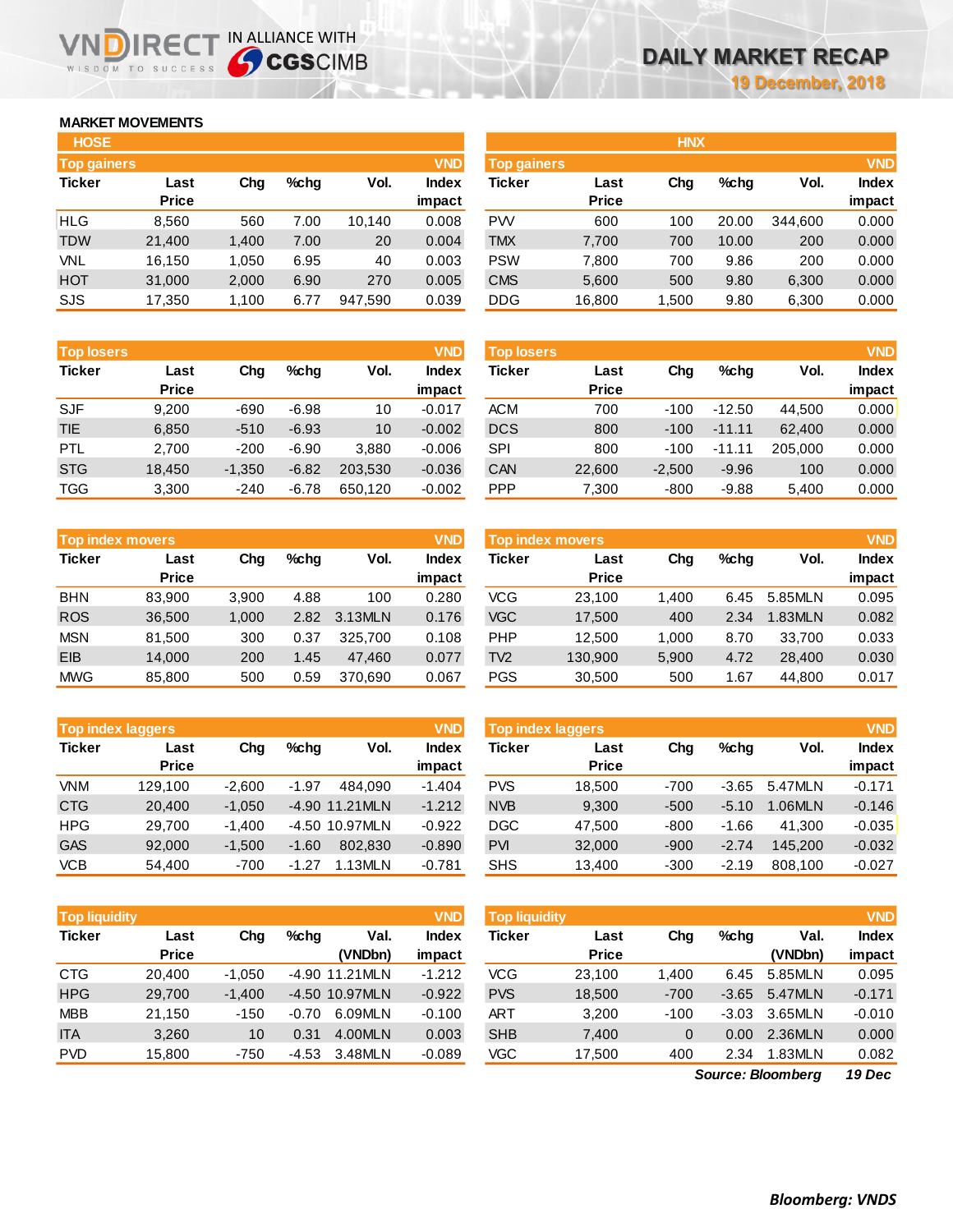# **MARKET MOVEMENTS**

WISDOM TO SUCCESS

| <b>HOSE</b>        |        |       |         |         |              |
|--------------------|--------|-------|---------|---------|--------------|
| <b>Top gainers</b> |        |       |         |         | <b>VND</b>   |
| <b>Ticker</b>      | Last   | Cha   | $%$ chq | Vol.    | <b>Index</b> |
|                    | Price  |       |         |         | impact       |
| <b>HLG</b>         | 8,560  | 560   | 7.00    | 10,140  | 0.008        |
| TDW                | 21,400 | 1,400 | 7.00    | 20      | 0.004        |
| VNL                | 16,150 | 1,050 | 6.95    | 40      | 0.003        |
| <b>HOT</b>         | 31,000 | 2,000 | 6.90    | 270     | 0.005        |
| SJS                | 17,350 | 1,100 | 6.77    | 947,590 | 0.039        |

**IDIRECT IN ALLIANCE WITH** 

| <b>Top losers</b> |              |          |         |         | <b>VND</b>   |
|-------------------|--------------|----------|---------|---------|--------------|
| <b>Ticker</b>     | Last         | Cha      | $%$ chq | Vol.    | <b>Index</b> |
|                   | <b>Price</b> |          |         |         | impact       |
| <b>SJF</b>        | 9.200        | -690     | $-6.98$ | 10      | $-0.017$     |
| <b>TIE</b>        | 6,850        | $-510$   | $-6.93$ | 10      | $-0.002$     |
| <b>PTL</b>        | 2,700        | $-200$   | $-6.90$ | 3,880   | $-0.006$     |
| <b>STG</b>        | 18,450       | $-1,350$ | $-6.82$ | 203,530 | $-0.036$     |
| <b>TGG</b>        | 3,300        | $-240$   | $-6.78$ | 650,120 | $-0.002$     |

| <b>Top index movers</b> |              |       |         |         | <b>VND</b>   |
|-------------------------|--------------|-------|---------|---------|--------------|
| <b>Ticker</b>           | Last         | Cha   | $%$ chq | Vol.    | <b>Index</b> |
|                         | <b>Price</b> |       |         |         | impact       |
| <b>BHN</b>              | 83,900       | 3,900 | 4.88    | 100     | 0.280        |
| <b>ROS</b>              | 36,500       | 1,000 | 2.82    | 3.13MLN | 0.176        |
| <b>MSN</b>              | 81,500       | 300   | 0.37    | 325,700 | 0.108        |
| EIB                     | 14,000       | 200   | 1.45    | 47,460  | 0.077        |
| <b>MWG</b>              | 85,800       | 500   | 0.59    | 370,690 | 0.067        |

|               | <b>Top index laggers</b> |          |         |                | <b>VND</b>   |
|---------------|--------------------------|----------|---------|----------------|--------------|
| <b>Ticker</b> | Last                     | Cha      | %chq    | Vol.           | <b>Index</b> |
|               | <b>Price</b>             |          |         |                | impact       |
| VNM           | 129,100                  | $-2,600$ | $-1.97$ | 484.090        | $-1.404$     |
| <b>CTG</b>    | 20,400                   | $-1,050$ |         | -4.90 11.21MLN | $-1.212$     |
| <b>HPG</b>    | 29,700                   | $-1,400$ |         | -4.50 10.97MLN | $-0.922$     |
| <b>GAS</b>    | 92,000                   | $-1,500$ | $-1.60$ | 802.830        | $-0.890$     |
| <b>VCB</b>    | 54,400                   | $-700$   | $-1.27$ | 1.13MLN        | $-0.781$     |

|               | <b>VND</b><br><b>Top liquidity</b> |          |         |                |              |  |  |  |  |  |  |  |
|---------------|------------------------------------|----------|---------|----------------|--------------|--|--|--|--|--|--|--|
| <b>Ticker</b> | Last                               | Cha      | $%$ chq | Val.           | <b>Index</b> |  |  |  |  |  |  |  |
|               | <b>Price</b>                       |          |         | (VNDbn)        | impact       |  |  |  |  |  |  |  |
| <b>CTG</b>    | 20,400                             | $-1,050$ |         | -4.90 11.21MLN | $-1.212$     |  |  |  |  |  |  |  |
| <b>HPG</b>    | 29,700                             | $-1,400$ |         | -4.50 10.97MLN | $-0.922$     |  |  |  |  |  |  |  |
| <b>MBB</b>    | 21,150                             | $-150$   | $-0.70$ | 6.09MLN        | $-0.100$     |  |  |  |  |  |  |  |
| <b>ITA</b>    | 3,260                              | 10       | 0.31    | 4.00MLN        | 0.003        |  |  |  |  |  |  |  |
| <b>PVD</b>    | 15,800                             | $-750$   | $-4.53$ | 3.48MLN        | $-0.089$     |  |  |  |  |  |  |  |

| <b>HOSE</b>        |              |       |      |         |              | <b>HNX</b>         |              |       |         |         |              |
|--------------------|--------------|-------|------|---------|--------------|--------------------|--------------|-------|---------|---------|--------------|
| <b>Top gainers</b> |              |       |      |         | <b>VND</b>   | <b>Top gainers</b> |              |       |         |         | <b>VND</b>   |
| Ticker             | Last         | Chg   | %chq | Vol.    | <b>Index</b> | Ticker             | Last         | Chg   | $%$ chq | Vol.    | <b>Index</b> |
|                    | <b>Price</b> |       |      |         | impact       |                    | <b>Price</b> |       |         |         | impact       |
| HLG                | 8,560        | 560   | 7.00 | 10.140  | 0.008        | <b>PW</b>          | 600          | 100   | 20.00   | 344.600 | 0.000        |
| <b>TDW</b>         | 21,400       | 1,400 | 7.00 | 20      | 0.004        | <b>TMX</b>         | 7,700        | 700   | 10.00   | 200     | 0.000        |
| VNL                | 16.150       | 1,050 | 6.95 | 40      | 0.003        | <b>PSW</b>         | 7.800        | 700   | 9.86    | 200     | 0.000        |
| HOT                | 31,000       | 2,000 | 6.90 | 270     | 0.005        | <b>CMS</b>         | 5,600        | 500   | 9.80    | 6,300   | 0.000        |
| SJS                | 17,350       | 1,100 | 6.77 | 947,590 | 0.039        | <b>DDG</b>         | 16,800       | 1,500 | 9.80    | 6,300   | 0.000        |
|                    |              |       |      |         |              |                    |              |       |         |         |              |

| <b>Top losers</b> | <b>VND</b>           |          |         |         |                        |            | <b>Top losers</b>    |          |          |         |                 |
|-------------------|----------------------|----------|---------|---------|------------------------|------------|----------------------|----------|----------|---------|-----------------|
| Ticker            | Last<br><b>Price</b> | Chg      | $%$ chq | Vol.    | <b>Index</b><br>impact | Ticker     | Last<br><b>Price</b> | Chg      | $%$ chq  | Vol.    | Index<br>impact |
| <b>SJF</b>        | 9.200                | $-690$   | $-6.98$ | 10      | $-0.017$               | <b>ACM</b> | 700                  | $-100$   | $-12.50$ | 44.500  | 0.000           |
| <b>TIE</b>        | 6,850                | $-510$   | $-6.93$ | 10      | $-0.002$               | <b>DCS</b> | 800                  | $-100$   | $-11.11$ | 62.400  | 0.000           |
| PTL               | 2.700                | $-200$   | $-6.90$ | 3.880   | $-0.006$               | SPI        | 800                  | $-100$   | $-11.11$ | 205.000 | 0.000           |
| <b>STG</b>        | 18,450               | $-1,350$ | $-6.82$ | 203.530 | $-0.036$               | CAN        | 22,600               | $-2,500$ | $-9.96$  | 100     | 0.000           |
| TGG               | 3,300                | $-240$   | $-6.78$ | 650,120 | $-0.002$               | <b>PPP</b> | 7,300                | $-800$   | $-9.88$  | 5,400   | 0.000           |

| Top index movers |              |       |      |         | <b>VND</b>   | Top index movers |              |       |         |         |              |
|------------------|--------------|-------|------|---------|--------------|------------------|--------------|-------|---------|---------|--------------|
| Ticker           | Last         | Chg   | %chq | Vol.    | <b>Index</b> | Ticker           | Last         | Chg   | $%$ chq | Vol.    | <b>Index</b> |
|                  | <b>Price</b> |       |      |         | impact       |                  | <b>Price</b> |       |         |         | impact       |
| BHN              | 83.900       | 3.900 | 4.88 | 100     | 0.280        | <b>VCG</b>       | 23.100       | 1.400 | 6.45    | 5.85MLN | 0.095        |
| <b>ROS</b>       | 36,500       | 1,000 | 2.82 | 3.13MLN | 0.176        | <b>VGC</b>       | 17,500       | 400   | 2.34    | 1.83MLN | 0.082        |
| <b>MSN</b>       | 81.500       | 300   | 0.37 | 325.700 | 0.108        | <b>PHP</b>       | 12.500       | 1.000 | 8.70    | 33.700  | 0.033        |
| <b>EIB</b>       | 14.000       | 200   | 1.45 | 47.460  | 0.077        | TV <sub>2</sub>  | 130,900      | 5,900 | 4.72    | 28,400  | 0.030        |
| <b>MWG</b>       | 85,800       | 500   | 0.59 | 370.690 | 0.067        | <b>PGS</b>       | 30,500       | 500   | 1.67    | 44,800  | 0.017        |

| <b>Top index laggers</b> |              |          |         |                | <b>VND</b> | <b>VND</b><br>Top index laggers |              |        |         |         |              |
|--------------------------|--------------|----------|---------|----------------|------------|---------------------------------|--------------|--------|---------|---------|--------------|
| Ticker                   | Last         | Chg      | %chq    | Vol.           | Index      | Ticker                          | Last         | Chg    | $%$ chq | Vol.    | <b>Index</b> |
|                          | <b>Price</b> |          |         |                | impact     |                                 | <b>Price</b> |        |         |         | impact       |
| <b>VNM</b>               | 129.100      | $-2.600$ | $-1.97$ | 484.090        | $-1.404$   | <b>PVS</b>                      | 18.500       | $-700$ | $-3.65$ | 5.47MLN | $-0.171$     |
| CTG                      | 20.400       | $-1.050$ |         | -4.90 11.21MLN | $-1.212$   | <b>NVB</b>                      | 9,300        | $-500$ | $-5.10$ | .06MLN  | $-0.146$     |
| HPG                      | 29.700       | $-1.400$ |         | -4.50 10.97MLN | $-0.922$   | <b>DGC</b>                      | 47.500       | $-800$ | $-1.66$ | 41.300  | $-0.035$     |
| <b>GAS</b>               | 92,000       | $-1.500$ | $-1.60$ | 802.830        | $-0.890$   | <b>PVI</b>                      | 32,000       | $-900$ | $-2.74$ | 145.200 | $-0.032$     |
| <b>VCB</b>               | 54,400       | $-700$   | $-1.27$ | .13MLN         | $-0.781$   | <b>SHS</b>                      | 13,400       | $-300$ | $-2.19$ | 808.100 | $-0.027$     |

| <b>Top liquidity</b> |                      |          |         |                  | <b>VND</b>      | <b>Top liquidity</b> |                      |        |         |                                                  | <b>VND</b>               |
|----------------------|----------------------|----------|---------|------------------|-----------------|----------------------|----------------------|--------|---------|--------------------------------------------------|--------------------------|
| Ticker               | Last<br><b>Price</b> | Cha      | %chq    | Val.<br>(VNDbn)  | Index<br>impact | Ticker               | Last<br><b>Price</b> | Chg    | %chq    | Val.<br>(VNDbn)                                  | <b>Index</b><br>impact   |
| CTG                  | 20.400               | $-1.050$ |         | $-4.90$ 11.21MLN | $-1.212$        | VCG                  | 23.100               | 1.400  | 6.45    | 5.85MLN                                          | 0.095                    |
| <b>HPG</b>           | 29,700               | $-1.400$ |         | -4.50 10.97MLN   | $-0.922$        | <b>PVS</b>           | 18,500               | $-700$ | $-3.65$ | 5.47MLN                                          | $-0.171$                 |
| <b>MBB</b>           | 21.150               | $-150$   | $-0.70$ | 6.09MLN          | $-0.100$        | ART                  | 3,200                | $-100$ | $-3.03$ | 3.65MLN                                          | $-0.010$                 |
| <b>ITA</b>           | 3,260                | 10       | 0.31    | 4.00MLN          | 0.003           | <b>SHB</b>           | 7,400                | 0      | 0.00    | 2.36MLN                                          | 0.000                    |
| <b>PVD</b>           | 15,800               | $-750$   | -4.53   | 3.48MLN          | $-0.089$        | VGC                  | 17,500               | 400    | 2.34    | 1.83MLN                                          | 0.082                    |
|                      |                      |          |         |                  |                 |                      |                      |        |         | $\sim$ $\sim$ $\sim$ $\sim$ $\sim$ $\sim$ $\sim$ | $\overline{\phantom{a}}$ |

*19 Dec Source: Bloomberg*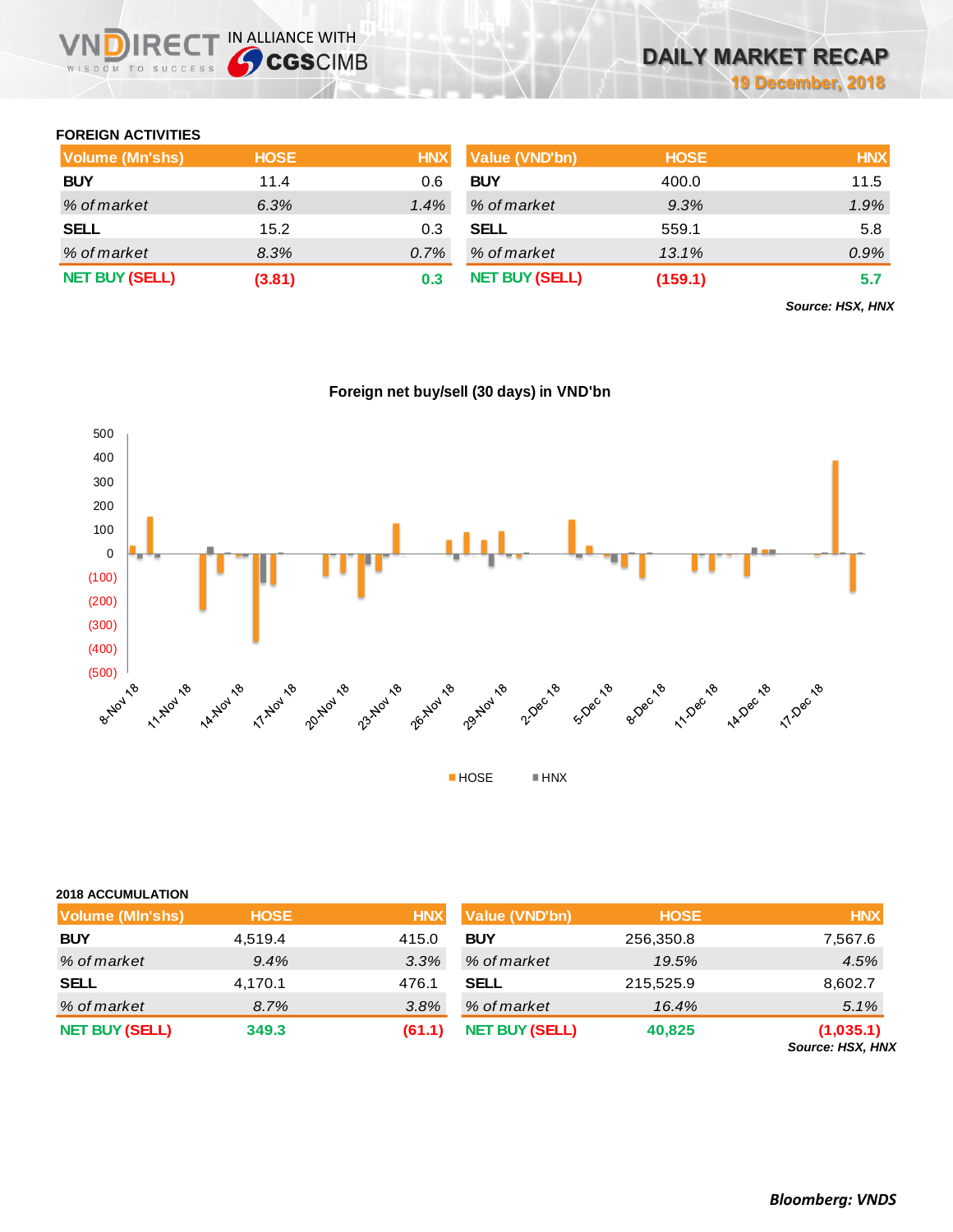## **FOREIGN ACTIVITIES**

| Volume (Mn'shs)       | <b>HOSE</b> | <b>HNX</b> | <b>Value (VND'bn)</b> | <b>HOSE</b> | <b>HNX</b> |
|-----------------------|-------------|------------|-----------------------|-------------|------------|
| <b>BUY</b>            | 11.4        | 0.6        | <b>BUY</b>            | 400.0       | 11.5       |
| % of market           | 6.3%        | 1.4%       | % of market           | 9.3%        | 1.9%       |
| <b>SELL</b>           | 15.2        | 0.3        | <b>SELL</b>           | 559.1       | 5.8        |
| % of market           | 8.3%        | 0.7%       | % of market           | 13.1%       | 0.9%       |
| <b>NET BUY (SELL)</b> | (3.81)      | 0.3        | <b>NET BUY (SELL)</b> | (159.1)     | 5.7        |

*Source: HSX, HNX*



# **Foreign net buy/sell (30 days) in VND'bn**

| <b>2018 ACCUMULATION</b> |             |            |                       |             |                               |
|--------------------------|-------------|------------|-----------------------|-------------|-------------------------------|
| <b>Volume (MIn'shs)</b>  | <b>HOSE</b> | <b>HNX</b> | Value (VND'bn)        | <b>HOSE</b> | <b>HNX</b>                    |
| <b>BUY</b>               | 4,519.4     | 415.0      | <b>BUY</b>            | 256,350.8   | 7,567.6                       |
| % of market              | 9.4%        | 3.3%       | % of market           | 19.5%       | 4.5%                          |
| <b>SELL</b>              | 4,170.1     | 476.1      | <b>SELL</b>           | 215,525.9   | 8,602.7                       |
| % of market              | 8.7%        | 3.8%       | % of market           | 16.4%       | 5.1%                          |
| <b>NET BUY (SELL)</b>    | 349.3       | (61.1)     | <b>NET BUY (SELL)</b> | 40,825      | (1,035.1)<br>Source: HSX, HNX |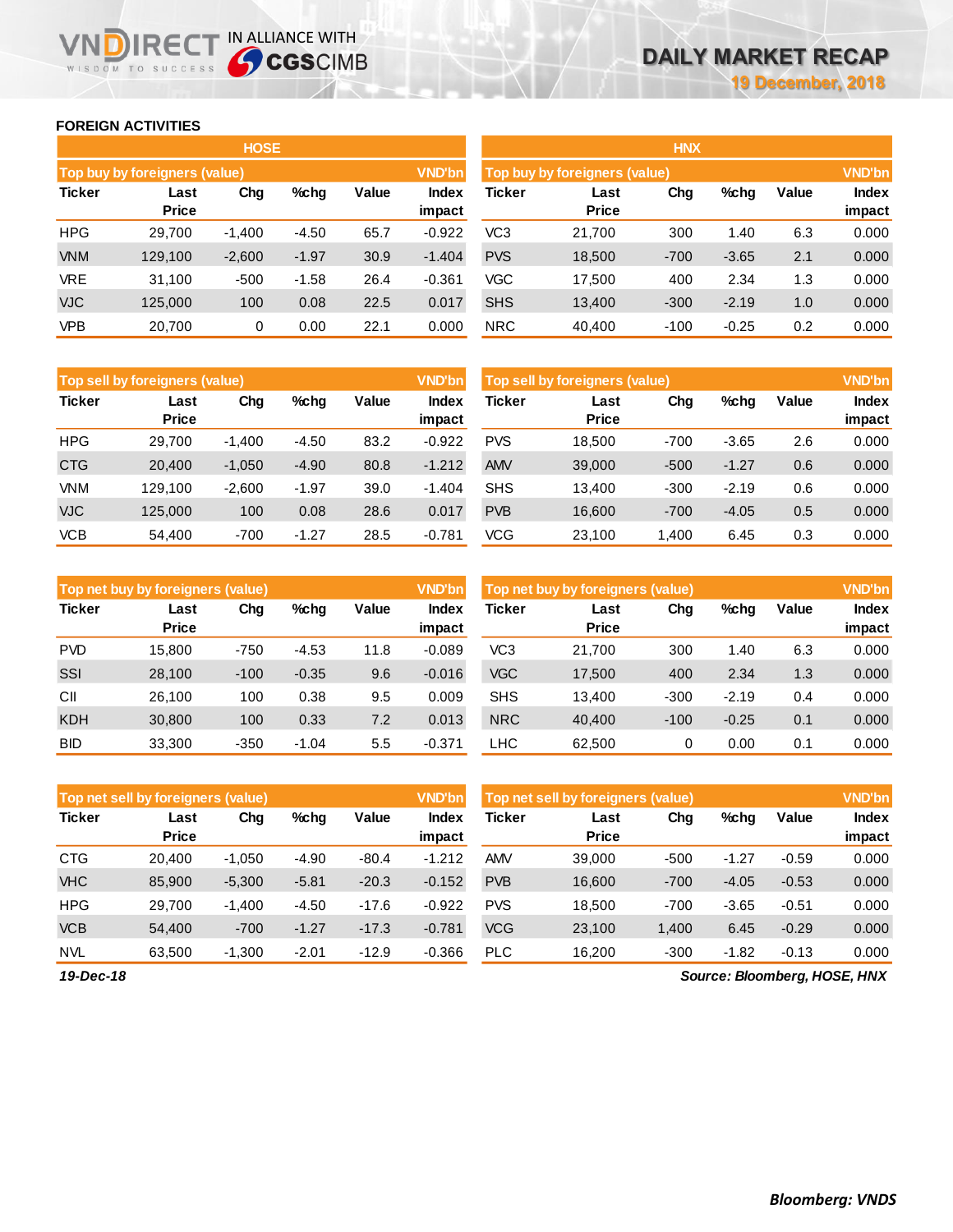## **FOREIGN ACTIVITIES**

WISDOM TO SUCCESS

n

**IRECT IN ALLIANCE WITH** 

|               |                               | <b>HOSE</b> |         |       |                        | <b>HNX</b>                    |                      |        |         |       |                        |  |  |
|---------------|-------------------------------|-------------|---------|-------|------------------------|-------------------------------|----------------------|--------|---------|-------|------------------------|--|--|
|               | Top buy by foreigners (value) |             |         |       | <b>VND'bn</b>          | Top buy by foreigners (value) |                      |        |         |       |                        |  |  |
| <b>Ticker</b> | Last<br><b>Price</b>          | Chg         | $%$ chq | Value | <b>Index</b><br>impact | <b>Ticker</b>                 | Last<br><b>Price</b> | Chg    | %chg    | Value | <b>Index</b><br>impact |  |  |
| <b>HPG</b>    | 29.700                        | $-1.400$    | $-4.50$ | 65.7  | $-0.922$               | VC <sub>3</sub>               | 21,700               | 300    | 1.40    | 6.3   | 0.000                  |  |  |
| <b>VNM</b>    | 129.100                       | $-2,600$    | $-1.97$ | 30.9  | $-1.404$               | <b>PVS</b>                    | 18,500               | $-700$ | $-3.65$ | 2.1   | 0.000                  |  |  |
| <b>VRE</b>    | 31.100                        | $-500$      | $-1.58$ | 26.4  | $-0.361$               | VGC                           | 17.500               | 400    | 2.34    | 1.3   | 0.000                  |  |  |
| <b>VJC</b>    | 125,000                       | 100         | 0.08    | 22.5  | 0.017                  | <b>SHS</b>                    | 13,400               | $-300$ | $-2.19$ | 1.0   | 0.000                  |  |  |
| <b>VPB</b>    | 20,700                        | 0           | 0.00    | 22.1  | 0.000                  | <b>NRC</b>                    | 40,400               | $-100$ | $-0.25$ | 0.2   | 0.000                  |  |  |

|               | <b>Top sell by foreigners (value)</b> |          |         |       | <b>VND'bn</b>          | <b>VND'bn</b><br>Top sell by foreigners (value) |                      |        |         |       |                 |
|---------------|---------------------------------------|----------|---------|-------|------------------------|-------------------------------------------------|----------------------|--------|---------|-------|-----------------|
| <b>Ticker</b> | Last<br><b>Price</b>                  | Chg      | $%$ chg | Value | <b>Index</b><br>impact | Ticker                                          | Last<br><b>Price</b> | Chg    | %chg    | Value | Index<br>impact |
| <b>HPG</b>    | 29.700                                | $-1.400$ | $-4.50$ | 83.2  | $-0.922$               | <b>PVS</b>                                      | 18.500               | $-700$ | $-3.65$ | 2.6   | 0.000           |
| <b>CTG</b>    | 20.400                                | $-1,050$ | $-4.90$ | 80.8  | $-1.212$               | <b>AMV</b>                                      | 39,000               | $-500$ | $-1.27$ | 0.6   | 0.000           |
| VNM           | 129.100                               | $-2,600$ | $-1.97$ | 39.0  | $-1.404$               | <b>SHS</b>                                      | 13.400               | $-300$ | $-2.19$ | 0.6   | 0.000           |
| <b>VJC</b>    | 125.000                               | 100      | 0.08    | 28.6  | 0.017                  | <b>PVB</b>                                      | 16,600               | $-700$ | $-4.05$ | 0.5   | 0.000           |
| <b>VCB</b>    | 54.400                                | -700     | $-1.27$ | 28.5  | $-0.781$               | <b>VCG</b>                                      | 23.100               | 1,400  | 6.45    | 0.3   | 0.000           |

|               | Top net buy by foreigners (value) |        |         |       | <b>VND'bn</b>   | <b>VND'bn</b><br>Top net buy by foreigners (value) |                      |        |         |       |                        |
|---------------|-----------------------------------|--------|---------|-------|-----------------|----------------------------------------------------|----------------------|--------|---------|-------|------------------------|
| <b>Ticker</b> | Last<br><b>Price</b>              | Chg    | $%$ chq | Value | Index<br>impact | <b>Ticker</b>                                      | Last<br><b>Price</b> | Chg    | %chg    | Value | <b>Index</b><br>impact |
| <b>PVD</b>    | 15.800                            | $-750$ | $-4.53$ | 11.8  | $-0.089$        | VC <sub>3</sub>                                    | 21.700               | 300    | 1.40    | 6.3   | 0.000                  |
| SSI           | 28,100                            | $-100$ | $-0.35$ | 9.6   | $-0.016$        | <b>VGC</b>                                         | 17,500               | 400    | 2.34    | 1.3   | 0.000                  |
| CII           | 26,100                            | 100    | 0.38    | 9.5   | 0.009           | <b>SHS</b>                                         | 13.400               | $-300$ | $-2.19$ | 0.4   | 0.000                  |
| <b>KDH</b>    | 30,800                            | 100    | 0.33    | 7.2   | 0.013           | <b>NRC</b>                                         | 40.400               | $-100$ | $-0.25$ | 0.1   | 0.000                  |
| <b>BID</b>    | 33.300                            | $-350$ | $-1.04$ | 5.5   | $-0.371$        | <b>LHC</b>                                         | 62.500               | 0      | 0.00    | 0.1   | 0.000                  |

| Top net sell by foreigners (value) |                      |          |         |         | <b>VND'bn</b>          | Top net sell by foreigners (value) |                      |        |         |         |                 |
|------------------------------------|----------------------|----------|---------|---------|------------------------|------------------------------------|----------------------|--------|---------|---------|-----------------|
| <b>Ticker</b>                      | Last<br><b>Price</b> | Chg      | $%$ chg | Value   | <b>Index</b><br>impact | Ticker                             | Last<br><b>Price</b> | Chg    | %chg    | Value   | Index<br>impact |
| <b>CTG</b>                         | 20.400               | $-1.050$ | $-4.90$ | $-80.4$ | $-1.212$               | <b>AMV</b>                         | 39,000               | $-500$ | $-1.27$ | $-0.59$ | 0.000           |
| <b>VHC</b>                         | 85,900               | $-5,300$ | $-5.81$ | $-20.3$ | $-0.152$               | <b>PVB</b>                         | 16,600               | $-700$ | $-4.05$ | $-0.53$ | 0.000           |
| <b>HPG</b>                         | 29.700               | $-1.400$ | $-4.50$ | $-17.6$ | $-0.922$               | <b>PVS</b>                         | 18.500               | $-700$ | $-3.65$ | $-0.51$ | 0.000           |
| <b>VCB</b>                         | 54,400               | $-700$   | $-1.27$ | $-17.3$ | $-0.781$               | <b>VCG</b>                         | 23,100               | 1,400  | 6.45    | $-0.29$ | 0.000           |
| <b>NVL</b>                         | 63,500               | $-1,300$ | $-2.01$ | $-12.9$ | $-0.366$               | <b>PLC</b>                         | 16.200               | $-300$ | $-1.82$ | $-0.13$ | 0.000           |

*Source: Bloomberg, HOSE, HNX*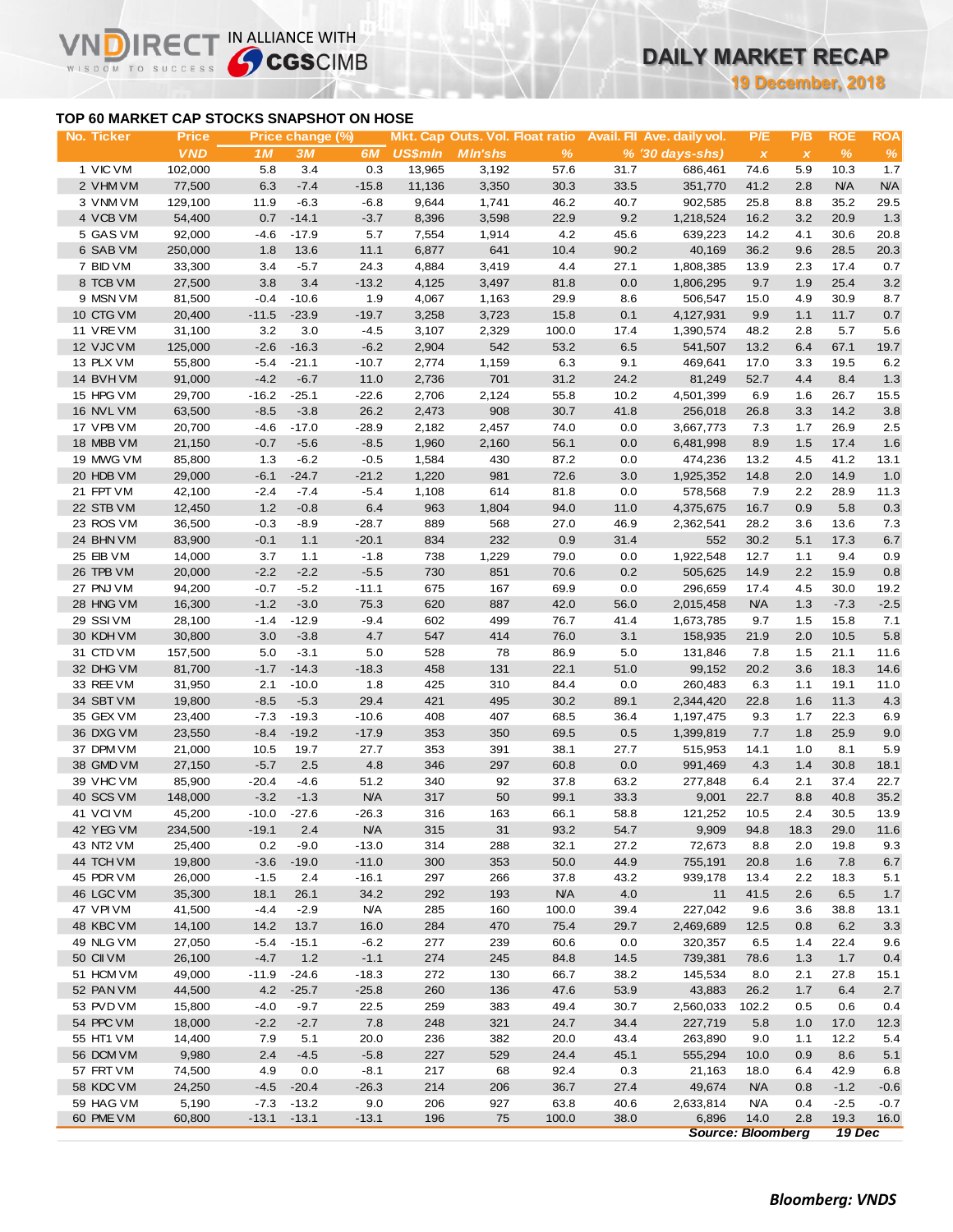## **TOP 60 MARKET CAP STOCKS SNAPSHOT ON HOSE**

**VNDIRECT IN ALLIANCE WITH** 

WISDOM TO SUCCESS

**19 December, 2018**

| No. Ticker             | <b>Price</b>     |                | Price change (%)  |                    |                |                |                    |              | Mkt. Cap Outs. Vol. Float ratio Avail. Fil Ave. daily vol. | P/E                       | P/B          | ROE         | <b>ROA</b> |
|------------------------|------------------|----------------|-------------------|--------------------|----------------|----------------|--------------------|--------------|------------------------------------------------------------|---------------------------|--------------|-------------|------------|
|                        | <b>VND</b>       | 1 M            | 3M                | 6M                 | <b>US\$mln</b> | <b>MIn'shs</b> | %                  |              | $% (30 days-shs)$                                          | $\boldsymbol{\mathsf{x}}$ | $\pmb{\chi}$ | %           | %          |
| 1 VIC VM               | 102,000          | 5.8            | 3.4               | 0.3                | 13,965         | 3,192          | 57.6               | 31.7         | 686,461                                                    | 74.6                      | 5.9          | 10.3        | 1.7        |
| 2 VHM VM               | 77,500           | 6.3            | $-7.4$            | $-15.8$            | 11,136         | 3,350          | 30.3               | 33.5         | 351,770                                                    | 41.2                      | 2.8          | <b>N/A</b>  | <b>N/A</b> |
| 3 VNM VM               | 129,100          | 11.9           | $-6.3$            | $-6.8$             | 9,644          | 1,741          | 46.2               | 40.7         | 902,585                                                    | 25.8                      | 8.8          | 35.2        | 29.5       |
| 4 VCB VM               | 54,400           | 0.7            | $-14.1$           | $-3.7$             | 8,396          | 3,598          | 22.9               | 9.2          | 1,218,524                                                  | 16.2                      | 3.2          | 20.9        | 1.3        |
| 5 GAS VM               | 92,000           | $-4.6$         | $-17.9$           | 5.7                | 7,554          | 1,914          | 4.2                | 45.6         | 639,223                                                    | 14.2                      | 4.1          | 30.6        | 20.8       |
| 6 SAB VM               | 250,000          | 1.8            | 13.6              | 11.1               | 6,877          | 641            | 10.4               | 90.2         | 40,169                                                     | 36.2                      | 9.6          | 28.5        | 20.3       |
| 7 BID VM               | 33,300           | 3.4            | $-5.7$            | 24.3               | 4,884          | 3,419          | 4.4                | 27.1         | 1,808,385                                                  | 13.9                      | 2.3          | 17.4        | 0.7        |
| 8 TCB VM               | 27,500           | $3.8\,$        | 3.4               | $-13.2$            | 4,125          | 3,497          | 81.8               | 0.0          | 1,806,295                                                  | 9.7                       | 1.9          | 25.4        | $3.2\,$    |
| 9 MSN VM               | 81,500           | $-0.4$         | $-10.6$           | 1.9                | 4,067          | 1,163          | 29.9               | 8.6          | 506,547                                                    | 15.0                      | 4.9          | 30.9        | 8.7        |
| 10 CTG VM              | 20,400           | $-11.5$        | $-23.9$           | $-19.7$            | 3,258          | 3,723          | 15.8               | 0.1          | 4,127,931                                                  | 9.9                       | 1.1          | 11.7        | 0.7        |
| 11 VREVM               | 31,100           | 3.2            | 3.0               | $-4.5$             | 3,107          | 2,329          | 100.0              | 17.4         | 1,390,574                                                  | 48.2                      | 2.8          | 5.7         | 5.6        |
| 12 VJC VM              | 125,000          | $-2.6$         | $-16.3$           | $-6.2$             | 2,904          | 542            | 53.2               | 6.5          | 541,507                                                    | 13.2                      | 6.4          | 67.1        | 19.7       |
| 13 PLX VM              | 55,800           | $-5.4$         | $-21.1$           | $-10.7$            | 2,774          | 1,159          | 6.3                | 9.1          | 469,641                                                    | 17.0                      | 3.3          | 19.5        | 6.2        |
| 14 BVHVM               | 91,000           | $-4.2$         | $-6.7$            | 11.0               | 2,736          | 701            | 31.2               | 24.2         | 81,249                                                     | 52.7                      | 4.4          | 8.4         | 1.3        |
| 15 HPG VM              | 29,700           | $-16.2$        | $-25.1$           | $-22.6$            | 2,706          | 2,124          | 55.8               | 10.2         | 4,501,399                                                  | 6.9                       | 1.6          | 26.7        | 15.5       |
| 16 NVL VM              | 63,500           | $-8.5$         | $-3.8$            | 26.2               | 2,473          | 908            | 30.7               | 41.8         | 256,018                                                    | 26.8                      | 3.3          | 14.2        | $3.8\,$    |
| 17 VPB VM              | 20,700           | $-4.6$         | $-17.0$           | $-28.9$            | 2,182          | 2,457          | 74.0               | 0.0          | 3,667,773                                                  | 7.3                       | 1.7          | 26.9        | 2.5        |
| 18 MBB VM              | 21,150           | $-0.7$         | $-5.6$            | $-8.5$             | 1,960          | 2,160          | 56.1               | 0.0          | 6,481,998                                                  | 8.9                       | 1.5          | 17.4        | 1.6        |
| 19 MWG VM              | 85,800           | 1.3            | $-6.2$            | $-0.5$             | 1,584          | 430            | 87.2               | 0.0          | 474,236                                                    | 13.2                      | 4.5          | 41.2        | 13.1       |
| 20 HDB VM              | 29,000           | $-6.1$         | $-24.7$           | $-21.2$            | 1,220          | 981            | 72.6               | 3.0          | 1,925,352                                                  | 14.8                      | 2.0          | 14.9        | 1.0        |
| 21 FPT VM              | 42,100           | $-2.4$         | $-7.4$            | $-5.4$             | 1,108          | 614            | 81.8               | 0.0          | 578,568                                                    | 7.9                       | 2.2          | 28.9        | 11.3       |
| 22 STB VM              | 12,450           | 1.2            | $-0.8$            | 6.4                | 963            | 1,804          | 94.0               | 11.0         | 4,375,675                                                  | 16.7                      | 0.9          | 5.8         | 0.3        |
| 23 ROS VM              | 36,500           | $-0.3$         | $-8.9$            | $-28.7$            | 889            | 568            | 27.0               | 46.9         | 2,362,541                                                  | 28.2                      | 3.6          | 13.6        | 7.3        |
| 24 BHN VM              | 83,900           | $-0.1$         | 1.1               | $-20.1$            | 834            | 232            | 0.9                | 31.4         | 552                                                        | 30.2                      | 5.1          | 17.3        | $6.7\,$    |
| 25 EIB VM              | 14,000           | 3.7            | 1.1               | $-1.8$             | 738            | 1,229          | 79.0               | 0.0          | 1,922,548                                                  | 12.7                      | 1.1          | 9.4         | 0.9        |
| 26 TPB VM              | 20,000           | $-2.2$         | $-2.2$            | $-5.5$             | 730            | 851            | 70.6               | 0.2          | 505,625                                                    | 14.9                      | 2.2          | 15.9        | 0.8        |
| 27 PNJ VM              | 94,200           | $-0.7$         | $-5.2$            | $-11.1$            | 675            | 167            | 69.9               | 0.0          | 296,659                                                    | 17.4                      | 4.5          | 30.0        | 19.2       |
| 28 HNG VM              | 16,300           | $-1.2$         | $-3.0$            | 75.3               | 620            | 887            | 42.0               | 56.0         | 2,015,458                                                  | <b>N/A</b>                | 1.3          | $-7.3$      | $-2.5$     |
| 29 SSIVM               | 28,100           | $-1.4$         | $-12.9$           | $-9.4$             | 602            | 499            | 76.7               | 41.4         | 1,673,785                                                  | 9.7                       | 1.5          | 15.8        | 7.1        |
| 30 KDH VM              | 30,800           | 3.0            | $-3.8$            | 4.7                | 547            | 414            | 76.0               | 3.1          | 158,935                                                    | 21.9                      | 2.0          | 10.5        | 5.8        |
| 31 CTD VM              | 157,500          | 5.0            | $-3.1$            | 5.0                | 528            | 78             | 86.9               | 5.0          | 131,846                                                    | 7.8                       | 1.5          | 21.1        | 11.6       |
| 32 DHG VM              | 81,700           | $-1.7$         | $-14.3$           | $-18.3$            | 458            | 131            | 22.1               | 51.0         | 99,152                                                     | 20.2                      | 3.6          | 18.3        | 14.6       |
| 33 REE VM              | 31,950           | 2.1            | $-10.0$           | 1.8                | 425            | 310            | 84.4               | 0.0          | 260,483                                                    | 6.3                       | 1.1          | 19.1        | 11.0       |
| 34 SBT VM              | 19,800           | $-8.5$         | $-5.3$            | 29.4               | 421            | 495            | 30.2               | 89.1         | 2,344,420                                                  | 22.8                      | 1.6          | 11.3        | 4.3        |
| 35 GEX VM              | 23,400           | $-7.3$         | $-19.3$           | $-10.6$            | 408            | 407            | 68.5               | 36.4         | 1,197,475                                                  | 9.3                       | 1.7          | 22.3        | 6.9        |
| 36 DXG VM              | 23,550           | $-8.4$         | $-19.2$           | $-17.9$            | 353            | 350            | 69.5               | 0.5          | 1,399,819                                                  | 7.7                       | 1.8          | 25.9        | $9.0\,$    |
| 37 DPM VM              | 21,000           | 10.5           | 19.7              | 27.7               | 353            | 391            | 38.1               | 27.7         | 515,953                                                    | 14.1                      | 1.0          | 8.1         | 5.9        |
| 38 GMD VM              | 27,150           | $-5.7$         | 2.5               | 4.8                | 346            | 297            | 60.8               | 0.0          | 991,469                                                    | 4.3                       | 1.4          | 30.8        | 18.1       |
| 39 VHC VM              | 85,900           | $-20.4$        | $-4.6$            | 51.2               | 340            | 92             | 37.8               | 63.2         | 277,848                                                    | 6.4                       | 2.1          | 37.4        | 22.7       |
| 40 SCS VM              | 148,000          | $-3.2$         | $-1.3$            | N/A                | 317            | 50             | 99.1               | 33.3         | 9,001                                                      | 22.7                      | 8.8          | 40.8        | 35.2       |
| 41 VCIVM               | 45,200           | $-10.0$        | $-27.6$           | $-26.3$            | 316            | 163            | 66.1               | 58.8         | 121,252                                                    | 10.5                      | 2.4          | 30.5        | 13.9       |
| 42 YEG VM              | 234,500          | $-19.1$        | 2.4               | <b>N/A</b>         | 315            | 31             | 93.2               | 54.7         | 9,909                                                      | 94.8                      | 18.3         | 29.0        | 11.6       |
|                        |                  |                |                   |                    |                |                |                    |              |                                                            |                           |              |             |            |
| 43 NT2 VM<br>44 TCH VM | 25,400<br>19,800 | 0.2<br>$-3.6$  | $-9.0$<br>$-19.0$ | $-13.0$<br>$-11.0$ | 314<br>300     | 288<br>353     | 32.1<br>50.0       | 27.2<br>44.9 | 72,673<br>755,191                                          | 8.8<br>20.8               | 2.0          | 19.8<br>7.8 | 9.3        |
| 45 PDR VM              |                  |                |                   | $-16.1$            |                |                |                    | 43.2         | 939,178                                                    |                           | 1.6          |             | 6.7        |
| 46 LGC VM              | 26,000<br>35,300 | $-1.5$<br>18.1 | 2.4               | 34.2               | 297<br>292     | 266<br>193     | 37.8<br><b>N/A</b> | 4.0          |                                                            | 13.4                      | 2.2          | 18.3        | 5.1        |
|                        |                  |                | 26.1              |                    |                |                |                    |              | 11                                                         | 41.5                      | 2.6          | 6.5         | 1.7        |
| 47 VPIVM               | 41,500           | $-4.4$         | $-2.9$            | <b>N/A</b>         | 285            | 160            | 100.0              | 39.4         | 227,042                                                    | 9.6                       | 3.6          | 38.8        | 13.1       |
| 48 KBC VM              | 14,100           | 14.2           | 13.7              | 16.0               | 284            | 470            | 75.4               | 29.7         | 2,469,689                                                  | 12.5                      | 0.8          | 6.2         | 3.3        |
| 49 NLG VM              | 27,050           | $-5.4$         | $-15.1$           | $-6.2$             | 277            | 239            | 60.6               | 0.0          | 320,357                                                    | 6.5                       | 1.4          | 22.4        | 9.6        |
| 50 CII VM              | 26,100           | $-4.7$         | 1.2               | $-1.1$             | 274            | 245            | 84.8               | 14.5         | 739,381                                                    | 78.6                      | 1.3          | 1.7         | 0.4        |
| 51 HCM VM              | 49,000           | $-11.9$        | $-24.6$           | $-18.3$            | 272            | 130            | 66.7               | 38.2         | 145,534                                                    | 8.0                       | 2.1          | 27.8        | 15.1       |
| 52 PAN VM              | 44,500           | 4.2            | $-25.7$           | $-25.8$            | 260            | 136            | 47.6               | 53.9         | 43,883                                                     | 26.2                      | 1.7          | 6.4         | 2.7        |
| 53 PVD VM              | 15,800           | $-4.0$         | $-9.7$            | 22.5               | 259            | 383            | 49.4               | 30.7         | 2,560,033                                                  | 102.2                     | 0.5          | 0.6         | 0.4        |
| 54 PPC VM              | 18,000           | $-2.2$         | $-2.7$            | 7.8                | 248            | 321            | 24.7               | 34.4         | 227,719                                                    | 5.8                       | 1.0          | 17.0        | 12.3       |
| 55 HT1 VM              | 14,400           | 7.9            | 5.1               | 20.0               | 236            | 382            | 20.0               | 43.4         | 263,890                                                    | 9.0                       | 1.1          | 12.2        | 5.4        |
| 56 DCM VM              | 9,980            | 2.4            | $-4.5$            | $-5.8$             | 227            | 529            | 24.4               | 45.1         | 555,294                                                    | 10.0                      | 0.9          | 8.6         | 5.1        |
| 57 FRT VM              | 74,500           | 4.9            | 0.0               | $-8.1$             | 217            | 68             | 92.4               | 0.3          | 21,163                                                     | 18.0                      | 6.4          | 42.9        | 6.8        |
| 58 KDC VM              | 24,250           | $-4.5$         | $-20.4$           | $-26.3$            | 214            | 206            | 36.7               | 27.4         | 49,674                                                     | <b>N/A</b>                | 0.8          | $-1.2$      | $-0.6$     |
| 59 HAG VM              | 5,190            | $-7.3$         | $-13.2$           | 9.0                | 206            | 927            | 63.8               | 40.6         | 2,633,814                                                  | <b>N/A</b>                | 0.4          | $-2.5$      | $-0.7$     |
| 60 PME VM              | 60,800           | $-13.1$        | $-13.1$           | $-13.1$            | 196            | 75             | 100.0              | 38.0         | 6,896                                                      | 14.0                      | 2.8          | 19.3        | 16.0       |

*Source: Bloomberg 19 Dec*